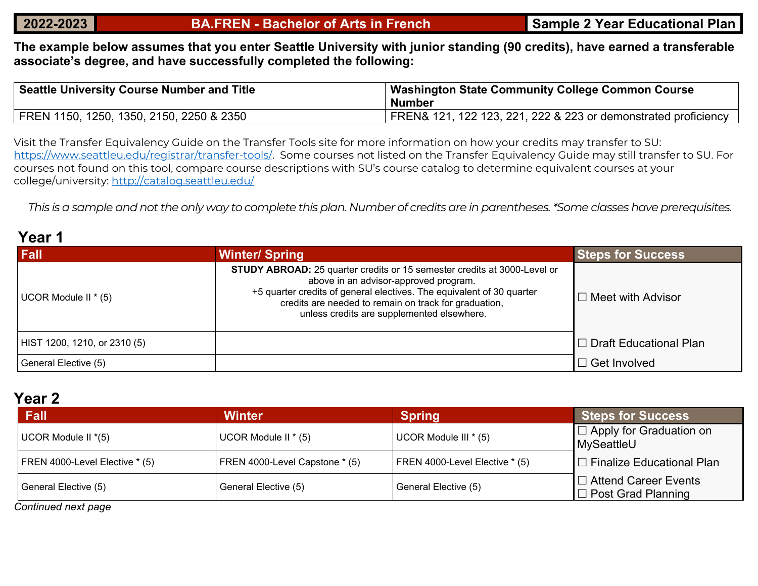**The example below assumes that you enter Seattle University with junior standing (90 credits), have earned a transferable associate's degree, and have successfully completed the following:**

| <b>Seattle University Course Number and Title</b> | Washington State Community College Common Course<br>Number     |
|---------------------------------------------------|----------------------------------------------------------------|
| FREN 1150, 1250, 1350, 2150, 2250 & 2350          | FREN& 121, 122 123, 221, 222 & 223 or demonstrated proficiency |

Visit the Transfer Equivalency Guide on the Transfer Tools site for more information on how your credits may transfer to SU: [https://www.seattleu.edu/registrar/transfer-tools/.](https://www.seattleu.edu/registrar/transfer-tools/) Some courses not listed on the Transfer Equivalency Guide may still transfer to SU. For courses not found on this tool, compare course descriptions with SU's course catalog to determine equivalent courses at your college/university:<http://catalog.seattleu.edu/>

*This is a sample and not the only way to complete this plan. Number of credits are in parentheses. \*Some classes have prerequisites.*

### **Year 1**

| <b>Fall</b>                  | <b>Winter/Spring</b>                                                                                                                                                                                                                                                                                     | <b>Steps for Success</b>   |
|------------------------------|----------------------------------------------------------------------------------------------------------------------------------------------------------------------------------------------------------------------------------------------------------------------------------------------------------|----------------------------|
| UCOR Module II * (5)         | <b>STUDY ABROAD:</b> 25 quarter credits or 15 semester credits at 3000-Level or<br>above in an advisor-approved program.<br>+5 quarter credits of general electives. The equivalent of 30 quarter<br>credits are needed to remain on track for graduation,<br>unless credits are supplemented elsewhere. | $\Box$ Meet with Advisor   |
| HIST 1200, 1210, or 2310 (5) |                                                                                                                                                                                                                                                                                                          | I □ Draft Educational Plan |
| General Elective (5)         |                                                                                                                                                                                                                                                                                                          | $\Box$ Get Involved        |

### **Year 2**

| Fall                           | <b>Winter</b>                  | <b>Spring</b>                  | <b>Steps for Success</b>                                 |  |
|--------------------------------|--------------------------------|--------------------------------|----------------------------------------------------------|--|
| UCOR Module II *(5)            | UCOR Module II * (5)           | UCOR Module III * (5)          | I □ Apply for Graduation on<br>MySeattleU                |  |
| FREN 4000-Level Elective * (5) | FREN 4000-Level Capstone * (5) | FREN 4000-Level Elective * (5) | $\Box$ Finalize Educational Plan                         |  |
| General Elective (5)           | General Elective (5)           | General Elective (5)           | $\Box$ Attend Career Events<br>$\Box$ Post Grad Planning |  |

*Continued next page*